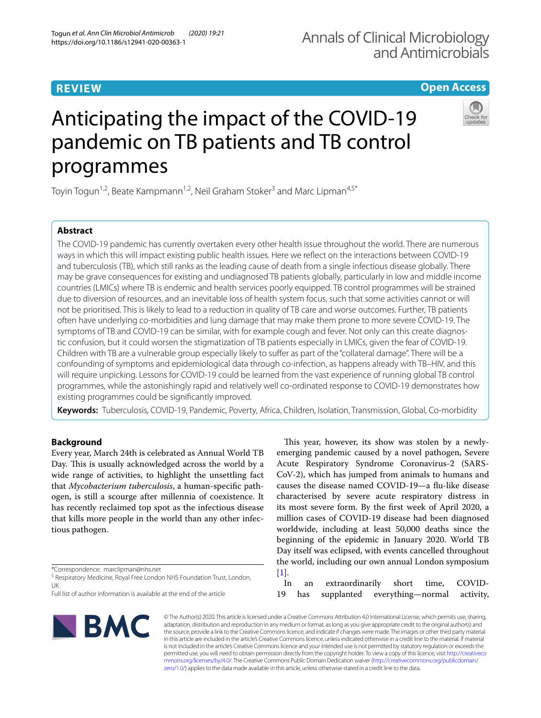# **REVIEW**

# **Open Access**

# Anticipating the impact of the COVID-19 pandemic on TB patients and TB control programmes



Toyin Togun<sup>1,2</sup>, Beate Kampmann<sup>1,2</sup>, Neil Graham Stoker<sup>3</sup> and Marc Lipman<sup>4,5\*</sup>

# **Abstract**

The COVID-19 pandemic has currently overtaken every other health issue throughout the world. There are numerous ways in which this will impact existing public health issues. Here we refect on the interactions between COVID-19 and tuberculosis (TB), which still ranks as the leading cause of death from a single infectious disease globally. There may be grave consequences for existing and undiagnosed TB patients globally, particularly in low and middle income countries (LMICs) where TB is endemic and health services poorly equipped. TB control programmes will be strained due to diversion of resources, and an inevitable loss of health system focus, such that some activities cannot or will not be prioritised. This is likely to lead to a reduction in quality of TB care and worse outcomes. Further, TB patients often have underlying co-morbidities and lung damage that may make them prone to more severe COVID-19. The symptoms of TB and COVID-19 can be similar, with for example cough and fever. Not only can this create diagnostic confusion, but it could worsen the stigmatization of TB patients especially in LMICs, given the fear of COVID-19. Children with TB are a vulnerable group especially likely to sufer as part of the "collateral damage". There will be a confounding of symptoms and epidemiological data through co-infection, as happens already with TB–HIV, and this will require unpicking. Lessons for COVID-19 could be learned from the vast experience of running global TB control programmes, while the astonishingly rapid and relatively well co-ordinated response to COVID-19 demonstrates how existing programmes could be signifcantly improved.

**Keywords:** Tuberculosis, COVID-19, Pandemic, Poverty, Africa, Children, Isolation, Transmission, Global, Co-morbidity

# **Background**

Every year, March 24th is celebrated as Annual World TB Day. This is usually acknowledged across the world by a wide range of activities, to highlight the unsettling fact that *Mycobacterium tuberculosis*, a human-specifc pathogen, is still a scourge after millennia of coexistence. It has recently reclaimed top spot as the infectious disease that kills more people in the world than any other infectious pathogen.

\*Correspondence: marclipman@nhs.net

<sup>5</sup> Respiratory Medicine, Royal Free London NHS Foundation Trust, London, UK

Full list of author information is available at the end of the article

This year, however, its show was stolen by a newlyemerging pandemic caused by a novel pathogen, Severe Acute Respiratory Syndrome Coronavirus-2 (SARS-CoV-2), which has jumped from animals to humans and causes the disease named COVID-19—a fu-like disease characterised by severe acute respiratory distress in its most severe form. By the frst week of April 2020, a million cases of COVID-19 disease had been diagnosed worldwide, including at least 50,000 deaths since the beginning of the epidemic in January 2020. World TB Day itself was eclipsed, with events cancelled throughout the world, including our own annual London symposium [[1\]](#page-5-0).

In an extraordinarily short time, COVID-19 has supplanted everything—normal activity,



© The Author(s) 2020. This article is licensed under a Creative Commons Attribution 4.0 International License, which permits use, sharing, adaptation, distribution and reproduction in any medium or format, as long as you give appropriate credit to the original author(s) and the source, provide a link to the Creative Commons licence, and indicate if changes were made. The images or other third party material in this article are included in the article's Creative Commons licence, unless indicated otherwise in a credit line to the material. If material is not included in the article's Creative Commons licence and your intended use is not permitted by statutory regulation or exceeds the permitted use, you will need to obtain permission directly from the copyright holder. To view a copy of this licence, visit [http://creativeco](http://creativecommons.org/licenses/by/4.0/) [mmons.org/licenses/by/4.0/.](http://creativecommons.org/licenses/by/4.0/) The Creative Commons Public Domain Dedication waiver ([http://creativecommons.org/publicdomain/](http://creativecommons.org/publicdomain/zero/1.0/) [zero/1.0/\)](http://creativecommons.org/publicdomain/zero/1.0/) applies to the data made available in this article, unless otherwise stated in a credit line to the data.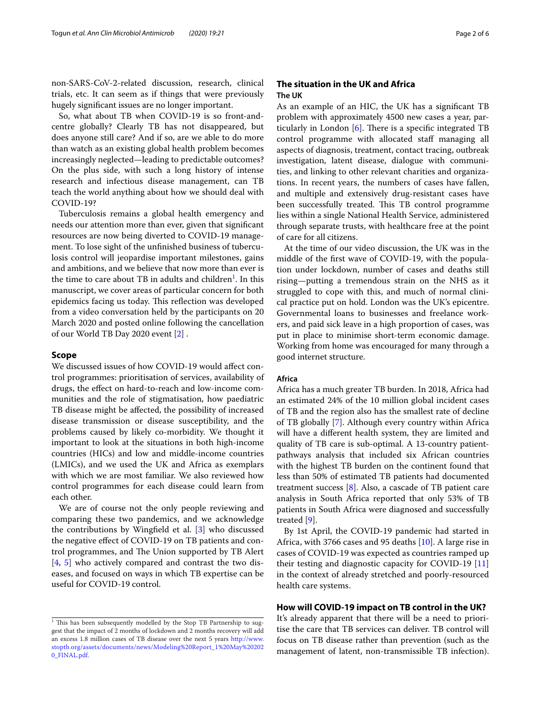non-SARS-CoV-2-related discussion, research, clinical trials, etc. It can seem as if things that were previously hugely signifcant issues are no longer important.

So, what about TB when COVID-19 is so front-andcentre globally? Clearly TB has not disappeared, but does anyone still care? And if so, are we able to do more than watch as an existing global health problem becomes increasingly neglected—leading to predictable outcomes? On the plus side, with such a long history of intense research and infectious disease management, can TB teach the world anything about how we should deal with COVID-19?

Tuberculosis remains a global health emergency and needs our attention more than ever, given that signifcant resources are now being diverted to COVID-19 management. To lose sight of the unfnished business of tuberculosis control will jeopardise important milestones, gains and ambitions, and we believe that now more than ever is the time to care about TB in adults and children<sup>[1](#page-1-0)</sup>. In this manuscript, we cover areas of particular concern for both epidemics facing us today. This reflection was developed from a video conversation held by the participants on 20 March 2020 and posted online following the cancellation of our World TB Day 2020 event [[2\]](#page-5-1) .

## **Scope**

We discussed issues of how COVID-19 would afect control programmes: prioritisation of services, availability of drugs, the efect on hard-to-reach and low-income communities and the role of stigmatisation, how paediatric TB disease might be afected, the possibility of increased disease transmission or disease susceptibility, and the problems caused by likely co-morbidity. We thought it important to look at the situations in both high-income countries (HICs) and low and middle-income countries (LMICs), and we used the UK and Africa as exemplars with which we are most familiar. We also reviewed how control programmes for each disease could learn from each other.

We are of course not the only people reviewing and comparing these two pandemics, and we acknowledge the contributions by Wingfeld et al. [\[3\]](#page-5-2) who discussed the negative efect of COVID-19 on TB patients and control programmes, and The Union supported by TB Alert [[4,](#page-5-3) [5\]](#page-5-4) who actively compared and contrast the two diseases, and focused on ways in which TB expertise can be useful for COVID-19 control.

## **The situation in the UK and Africa The UK**

As an example of an HIC, the UK has a signifcant TB problem with approximately 4500 new cases a year, particularly in London  $[6]$  $[6]$ . There is a specific integrated TB control programme with allocated staff managing all aspects of diagnosis, treatment, contact tracing, outbreak investigation, latent disease, dialogue with communities, and linking to other relevant charities and organizations. In recent years, the numbers of cases have fallen, and multiple and extensively drug-resistant cases have been successfully treated. This TB control programme lies within a single National Health Service, administered through separate trusts, with healthcare free at the point of care for all citizens.

At the time of our video discussion, the UK was in the middle of the frst wave of COVID-19, with the population under lockdown, number of cases and deaths still rising—putting a tremendous strain on the NHS as it struggled to cope with this, and much of normal clinical practice put on hold. London was the UK's epicentre. Governmental loans to businesses and freelance workers, and paid sick leave in a high proportion of cases, was put in place to minimise short-term economic damage. Working from home was encouraged for many through a good internet structure.

## **Africa**

Africa has a much greater TB burden. In 2018, Africa had an estimated 24% of the 10 million global incident cases of TB and the region also has the smallest rate of decline of TB globally [[7\]](#page-5-6). Although every country within Africa will have a diferent health system, they are limited and quality of TB care is sub-optimal. A 13-country patientpathways analysis that included six African countries with the highest TB burden on the continent found that less than 50% of estimated TB patients had documented treatment success [\[8](#page-5-7)]. Also, a cascade of TB patient care analysis in South Africa reported that only 53% of TB patients in South Africa were diagnosed and successfully treated [\[9](#page-5-8)].

By 1st April, the COVID-19 pandemic had started in Africa, with 3766 cases and 95 deaths [[10\]](#page-5-9). A large rise in cases of COVID-19 was expected as countries ramped up their testing and diagnostic capacity for COVID-19 [[11](#page-5-10)] in the context of already stretched and poorly-resourced health care systems.

## **How will COVID‑19 impact on TB control in the UK?**

It's already apparent that there will be a need to prioritise the care that TB services can deliver. TB control will focus on TB disease rather than prevention (such as the management of latent, non-transmissible TB infection).

<span id="page-1-0"></span> $1$  This has been subsequently modelled by the Stop TB Partnership to suggest that the impact of 2 months of lockdown and 2 months recovery will add an excess 1.8 million cases of TB disease over the next 5 years [http://www.](http://www.stoptb.org/assets/documents/news/Modeling%20Report_1%20May%202020_FINAL.pdf) [stoptb.org/assets/documents/news/Modeling%20Report\\_1%20May%20202](http://www.stoptb.org/assets/documents/news/Modeling%20Report_1%20May%202020_FINAL.pdf) [0\\_FINAL.pdf.](http://www.stoptb.org/assets/documents/news/Modeling%20Report_1%20May%202020_FINAL.pdf)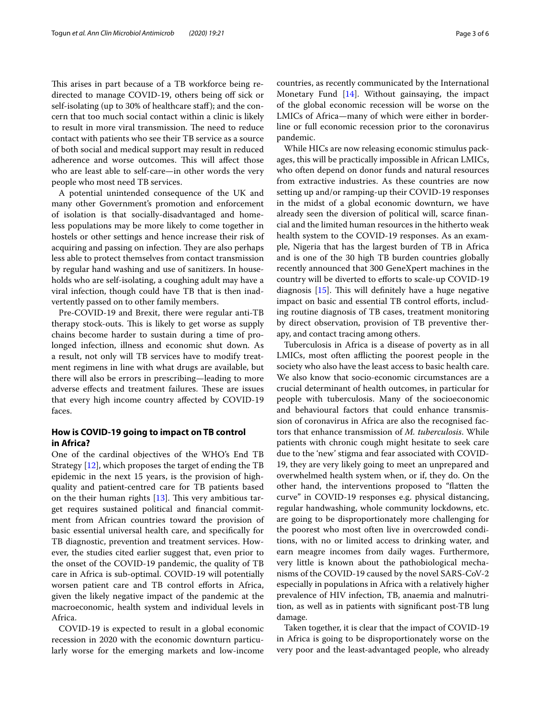This arises in part because of a TB workforce being redirected to manage COVID-19, others being of sick or self-isolating (up to 30% of healthcare staff); and the concern that too much social contact within a clinic is likely to result in more viral transmission. The need to reduce contact with patients who see their TB service as a source of both social and medical support may result in reduced adherence and worse outcomes. This will affect those who are least able to self-care—in other words the very people who most need TB services.

A potential unintended consequence of the UK and many other Government's promotion and enforcement of isolation is that socially-disadvantaged and homeless populations may be more likely to come together in hostels or other settings and hence increase their risk of acquiring and passing on infection. They are also perhaps less able to protect themselves from contact transmission by regular hand washing and use of sanitizers. In households who are self-isolating, a coughing adult may have a viral infection, though could have TB that is then inadvertently passed on to other family members.

Pre-COVID-19 and Brexit, there were regular anti-TB therapy stock-outs. This is likely to get worse as supply chains become harder to sustain during a time of prolonged infection, illness and economic shut down. As a result, not only will TB services have to modify treatment regimens in line with what drugs are available, but there will also be errors in prescribing—leading to more adverse effects and treatment failures. These are issues that every high income country afected by COVID-19 faces.

## **How is COVID‑19 going to impact on TB control in Africa?**

One of the cardinal objectives of the WHO's End TB Strategy [[12\]](#page-5-11), which proposes the target of ending the TB epidemic in the next 15 years, is the provision of highquality and patient-centred care for TB patients based on the their human rights  $[13]$  $[13]$ . This very ambitious target requires sustained political and fnancial commitment from African countries toward the provision of basic essential universal health care, and specifcally for TB diagnostic, prevention and treatment services. However, the studies cited earlier suggest that, even prior to the onset of the COVID-19 pandemic, the quality of TB care in Africa is sub-optimal. COVID-19 will potentially worsen patient care and TB control efforts in Africa, given the likely negative impact of the pandemic at the macroeconomic, health system and individual levels in Africa.

COVID-19 is expected to result in a global economic recession in 2020 with the economic downturn particularly worse for the emerging markets and low-income countries, as recently communicated by the International Monetary Fund [\[14](#page-5-13)]. Without gainsaying, the impact of the global economic recession will be worse on the LMICs of Africa—many of which were either in borderline or full economic recession prior to the coronavirus pandemic.

While HICs are now releasing economic stimulus packages, this will be practically impossible in African LMICs, who often depend on donor funds and natural resources from extractive industries. As these countries are now setting up and/or ramping-up their COVID-19 responses in the midst of a global economic downturn, we have already seen the diversion of political will, scarce fnancial and the limited human resources in the hitherto weak health system to the COVID-19 responses. As an example, Nigeria that has the largest burden of TB in Africa and is one of the 30 high TB burden countries globally recently announced that 300 GeneXpert machines in the country will be diverted to eforts to scale-up COVID-19 diagnosis  $[15]$  $[15]$ . This will definitely have a huge negative impact on basic and essential TB control efforts, including routine diagnosis of TB cases, treatment monitoring by direct observation, provision of TB preventive therapy, and contact tracing among others.

Tuberculosis in Africa is a disease of poverty as in all LMICs, most often afflicting the poorest people in the society who also have the least access to basic health care. We also know that socio-economic circumstances are a crucial determinant of health outcomes, in particular for people with tuberculosis. Many of the socioeconomic and behavioural factors that could enhance transmission of coronavirus in Africa are also the recognised factors that enhance transmission of *M. tuberculosis*. While patients with chronic cough might hesitate to seek care due to the 'new' stigma and fear associated with COVID-19, they are very likely going to meet an unprepared and overwhelmed health system when, or if, they do. On the other hand, the interventions proposed to "fatten the curve" in COVID-19 responses e.g. physical distancing, regular handwashing, whole community lockdowns, etc. are going to be disproportionately more challenging for the poorest who most often live in overcrowded conditions, with no or limited access to drinking water, and earn meagre incomes from daily wages. Furthermore, very little is known about the pathobiological mechanisms of the COVID-19 caused by the novel SARS-CoV-2 especially in populations in Africa with a relatively higher prevalence of HIV infection, TB, anaemia and malnutrition, as well as in patients with signifcant post-TB lung damage.

Taken together, it is clear that the impact of COVID-19 in Africa is going to be disproportionately worse on the very poor and the least-advantaged people, who already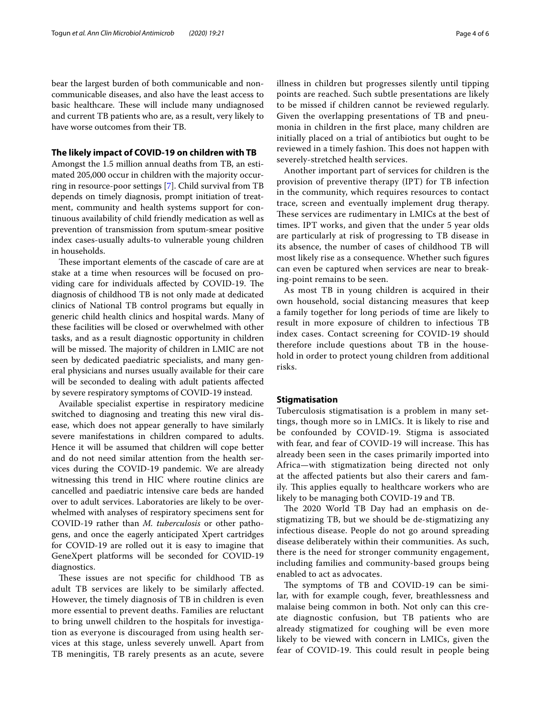communicable diseases, and also have the least access to basic healthcare. These will include many undiagnosed and current TB patients who are, as a result, very likely to have worse outcomes from their TB.

## **The likely impact of COVID‑19 on children with TB**

Amongst the 1.5 million annual deaths from TB, an estimated 205,000 occur in children with the majority occurring in resource-poor settings [[7\]](#page-5-6). Child survival from TB depends on timely diagnosis, prompt initiation of treatment, community and health systems support for continuous availability of child friendly medication as well as prevention of transmission from sputum-smear positive index cases-usually adults-to vulnerable young children in households.

These important elements of the cascade of care are at stake at a time when resources will be focused on providing care for individuals affected by COVID-19. The diagnosis of childhood TB is not only made at dedicated clinics of National TB control programs but equally in generic child health clinics and hospital wards. Many of these facilities will be closed or overwhelmed with other tasks, and as a result diagnostic opportunity in children will be missed. The majority of children in LMIC are not seen by dedicated paediatric specialists, and many general physicians and nurses usually available for their care will be seconded to dealing with adult patients afected by severe respiratory symptoms of COVID-19 instead.

Available specialist expertise in respiratory medicine switched to diagnosing and treating this new viral disease, which does not appear generally to have similarly severe manifestations in children compared to adults. Hence it will be assumed that children will cope better and do not need similar attention from the health services during the COVID-19 pandemic. We are already witnessing this trend in HIC where routine clinics are cancelled and paediatric intensive care beds are handed over to adult services. Laboratories are likely to be overwhelmed with analyses of respiratory specimens sent for COVID-19 rather than *M. tuberculosis* or other pathogens, and once the eagerly anticipated Xpert cartridges for COVID-19 are rolled out it is easy to imagine that GeneXpert platforms will be seconded for COVID-19 diagnostics.

These issues are not specific for childhood TB as adult TB services are likely to be similarly afected. However, the timely diagnosis of TB in children is even more essential to prevent deaths. Families are reluctant to bring unwell children to the hospitals for investigation as everyone is discouraged from using health services at this stage, unless severely unwell. Apart from TB meningitis, TB rarely presents as an acute, severe illness in children but progresses silently until tipping points are reached. Such subtle presentations are likely to be missed if children cannot be reviewed regularly. Given the overlapping presentations of TB and pneumonia in children in the frst place, many children are initially placed on a trial of antibiotics but ought to be reviewed in a timely fashion. This does not happen with severely-stretched health services.

Another important part of services for children is the provision of preventive therapy (IPT) for TB infection in the community, which requires resources to contact trace, screen and eventually implement drug therapy. These services are rudimentary in LMICs at the best of times. IPT works, and given that the under 5 year olds are particularly at risk of progressing to TB disease in its absence, the number of cases of childhood TB will most likely rise as a consequence. Whether such fgures can even be captured when services are near to breaking-point remains to be seen.

As most TB in young children is acquired in their own household, social distancing measures that keep a family together for long periods of time are likely to result in more exposure of children to infectious TB index cases. Contact screening for COVID-19 should therefore include questions about TB in the household in order to protect young children from additional risks.

## **Stigmatisation**

Tuberculosis stigmatisation is a problem in many settings, though more so in LMICs. It is likely to rise and be confounded by COVID-19. Stigma is associated with fear, and fear of COVID-19 will increase. This has already been seen in the cases primarily imported into Africa—with stigmatization being directed not only at the afected patients but also their carers and family. This applies equally to healthcare workers who are likely to be managing both COVID-19 and TB.

The 2020 World TB Day had an emphasis on destigmatizing TB, but we should be de-stigmatizing any infectious disease. People do not go around spreading disease deliberately within their communities. As such, there is the need for stronger community engagement, including families and community-based groups being enabled to act as advocates.

The symptoms of TB and COVID-19 can be similar, with for example cough, fever, breathlessness and malaise being common in both. Not only can this create diagnostic confusion, but TB patients who are already stigmatized for coughing will be even more likely to be viewed with concern in LMICs, given the fear of COVID-19. This could result in people being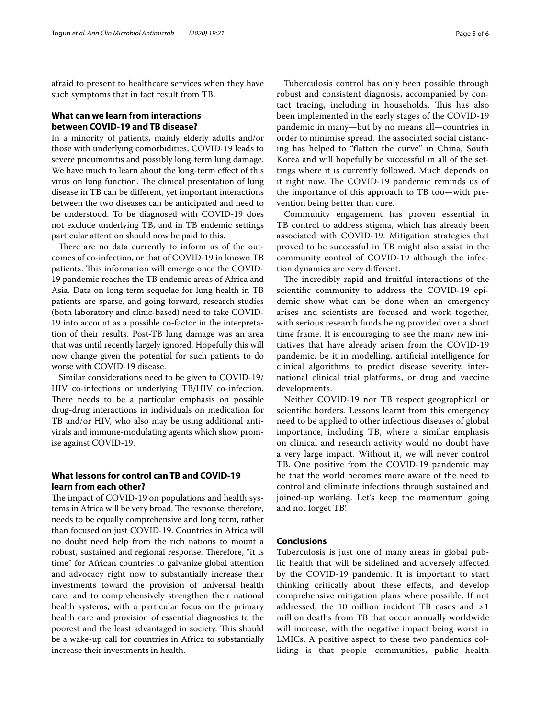afraid to present to healthcare services when they have such symptoms that in fact result from TB.

## **What can we learn from interactions between COVID‑19 and TB disease?**

In a minority of patients, mainly elderly adults and/or those with underlying comorbidities, COVID-19 leads to severe pneumonitis and possibly long-term lung damage. We have much to learn about the long-term effect of this virus on lung function. The clinical presentation of lung disease in TB can be diferent, yet important interactions between the two diseases can be anticipated and need to be understood. To be diagnosed with COVID-19 does not exclude underlying TB, and in TB endemic settings particular attention should now be paid to this.

There are no data currently to inform us of the outcomes of co-infection, or that of COVID-19 in known TB patients. This information will emerge once the COVID-19 pandemic reaches the TB endemic areas of Africa and Asia. Data on long term sequelae for lung health in TB patients are sparse, and going forward, research studies (both laboratory and clinic-based) need to take COVID-19 into account as a possible co-factor in the interpretation of their results. Post-TB lung damage was an area that was until recently largely ignored. Hopefully this will now change given the potential for such patients to do worse with COVID-19 disease.

Similar considerations need to be given to COVID-19/ HIV co-infections or underlying TB/HIV co-infection. There needs to be a particular emphasis on possible drug-drug interactions in individuals on medication for TB and/or HIV, who also may be using additional antivirals and immune-modulating agents which show promise against COVID-19.

## **What lessons for control can TB and COVID‑19 learn from each other?**

The impact of COVID-19 on populations and health systems in Africa will be very broad. The response, therefore, needs to be equally comprehensive and long term, rather than focused on just COVID-19. Countries in Africa will no doubt need help from the rich nations to mount a robust, sustained and regional response. Therefore, "it is time" for African countries to galvanize global attention and advocacy right now to substantially increase their investments toward the provision of universal health care, and to comprehensively strengthen their national health systems, with a particular focus on the primary health care and provision of essential diagnostics to the poorest and the least advantaged in society. This should be a wake-up call for countries in Africa to substantially increase their investments in health.

Tuberculosis control has only been possible through robust and consistent diagnosis, accompanied by contact tracing, including in households. This has also been implemented in the early stages of the COVID-19 pandemic in many—but by no means all—countries in order to minimise spread. The associated social distancing has helped to "fatten the curve" in China, South Korea and will hopefully be successful in all of the settings where it is currently followed. Much depends on it right now. The COVID-19 pandemic reminds us of the importance of this approach to TB too—with prevention being better than cure.

Community engagement has proven essential in TB control to address stigma, which has already been associated with COVID-19. Mitigation strategies that proved to be successful in TB might also assist in the community control of COVID-19 although the infection dynamics are very diferent.

The incredibly rapid and fruitful interactions of the scientifc community to address the COVID-19 epidemic show what can be done when an emergency arises and scientists are focused and work together, with serious research funds being provided over a short time frame. It is encouraging to see the many new initiatives that have already arisen from the COVID-19 pandemic, be it in modelling, artifcial intelligence for clinical algorithms to predict disease severity, international clinical trial platforms, or drug and vaccine developments.

Neither COVID-19 nor TB respect geographical or scientifc borders. Lessons learnt from this emergency need to be applied to other infectious diseases of global importance, including TB, where a similar emphasis on clinical and research activity would no doubt have a very large impact. Without it, we will never control TB. One positive from the COVID-19 pandemic may be that the world becomes more aware of the need to control and eliminate infections through sustained and joined-up working. Let's keep the momentum going and not forget TB!

## **Conclusions**

Tuberculosis is just one of many areas in global public health that will be sidelined and adversely afected by the COVID-19 pandemic. It is important to start thinking critically about these efects, and develop comprehensive mitigation plans where possible. If not addressed, the 10 million incident TB cases and > 1 million deaths from TB that occur annually worldwide will increase, with the negative impact being worst in LMICs. A positive aspect to these two pandemics colliding is that people—communities, public health